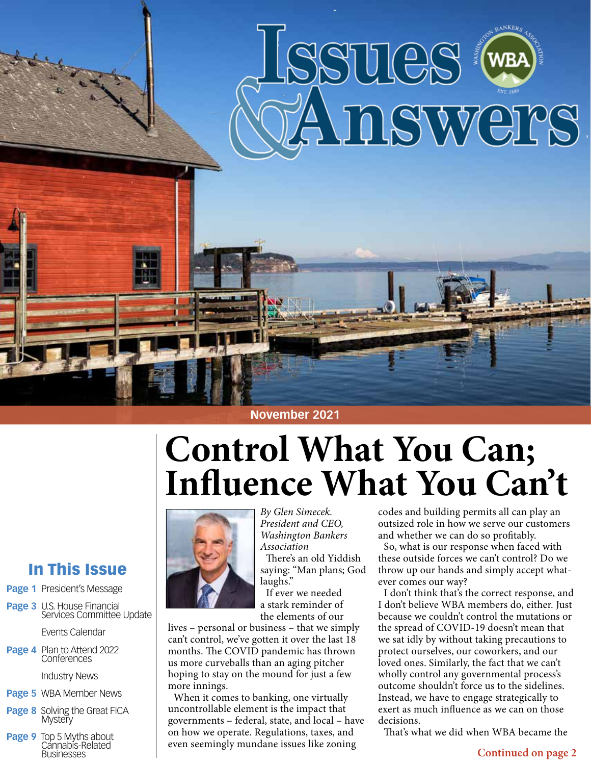



# **Control What You Can; Influence What You Can't**



*By Glen Simecek. President and CEO, Washington Bankers Association* There's an old Yiddish saying: "Man plans; God laughs."

If ever we needed a stark reminder of the elements of our

lives – personal or business – that we simply can't control, we've gotten it over the last 18 months. The COVID pandemic has thrown us more curveballs than an aging pitcher hoping to stay on the mound for just a few more innings.

When it comes to banking, one virtually uncontrollable element is the impact that governments – federal, state, and local – have on how we operate. Regulations, taxes, and even seemingly mundane issues like zoning

codes and building permits all can play an outsized role in how we serve our customers and whether we can do so profitably.

So, what is our response when faced with these outside forces we can't control? Do we throw up our hands and simply accept whatever comes our way?

I don't think that's the correct response, and I don't believe WBA members do, either. Just because we couldn't control the mutations or the spread of COVID-19 doesn't mean that we sat idly by without taking precautions to protect ourselves, our coworkers, and our loved ones. Similarly, the fact that we can't wholly control any governmental process's outcome shouldn't force us to the sidelines. Instead, we have to engage strategically to exert as much influence as we can on those decisions.

That's what we did when WBA became the

#### **Continued on page 2**

### In This Issue

- **Page 1** President's Message
- **Page 3** U.S. House Financial Services Committee Update

Events Calendar

**Page 4** Plan to Attend 2022 **Conferences** 

Industry News

- **Page 5** WBA Member News
- **Page 8** Solving the Great FICA **Mystery**
- **Page 9** Top 5 Myths about Cannabis-Related **Businesses**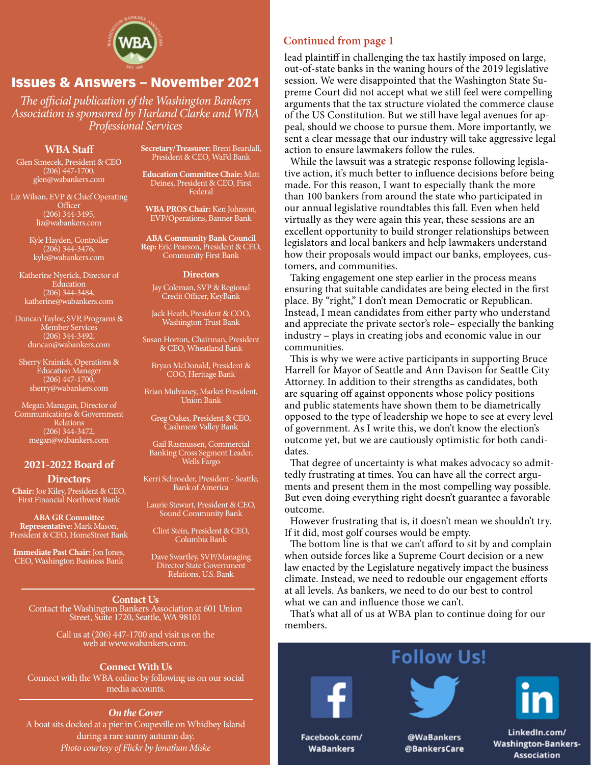

#### Issues & Answers – November 2021

*The official publication of the Washington Bankers Association is sponsored by Harland Clarke and WBA Professional Services*

#### **WBA Staff**

Glen Simecek, President & CEO (206) 447-1700, glen@wabankers.com

Liz Wilson, EVP & Chief Operating **Officer** (206) 344-3495, liz@wabankers.com

> Kyle Hayden, Controller (206) 344-3476, kyle@wabankers.com

Katherine Nyerick, Director of **Education**  $(206)$  344-3484, katherine@wabankers.com

Duncan Taylor, SVP, Programs & Member Services (206) 344-3492, duncan@wabankers.com

Sherry Krainick, Operations & Education Manager (206) 447-1700, sherry@wabankers.com

Megan Managan, Director of Communications & Government Relations (206) 344-3472, megan@wabankers.com

#### **2021-2022 Board of Directors**

**Chair:** Joe Kiley, President & CEO, First Financial Northwest Bank

**ABA GR Committee Representative:** Mark Mason, President & CEO, HomeStreet Bank

**Immediate Past Chair:** Jon Jones, CEO, Washington Business Bank

**Secretary/Treasurer:** Brent Beardall, President & CEO, WaFd Bank

**Education Committee Chair:** Matt Deines, President & CEO, First Federal

**WBA PROS Chair:** Ken Johnson, EVP/Operations, Banner Bank

**ABA Community Bank Council Rep:** Eric Pearson, President & CEO, Community First Bank

#### **Directors**

Jay Coleman, SVP & Regional Credit Officer, KeyBank

Jack Heath, President & COO, Washington Trust Bank

Susan Horton, Chairman, President & CEO, Wheatland Bank

Bryan McDonald, President & COO, Heritage Bank

Brian Mulvaney, Market President, Union Bank

Greg Oakes, President & CEO, Cashmere Valley Bank

Gail Rasmussen, Commercial Banking Cross Segment Leader, Wells Fargo

Kerri Schroeder, President - Seattle, Bank of America

Laurie Stewart, President & CEO, Sound Community Bank

Clint Stein, President & CEO, Columbia Bank

Dave Swartley, SVP/Managing Director State Government Relations, U.S. Bank

**Contact Us** Contact the Washington Bankers Association at 601 Union Street, Suite 1720, Seattle, WA 98101

> Call us at (206) 447-1700 and visit us on the web at www.wabankers.com.

#### **Connect With Us**

Connect with the WBA online by following us on our social media accounts.

#### *On the Cover*

A boat sits docked at a pier in Coupeville on Whidbey Island during a rare sunny autumn day. *Photo courtesy of Flickr by Jonathan Miske*

#### **Continued from page 1**

lead plaintiff in challenging the tax hastily imposed on large, out-of-state banks in the waning hours of the 2019 legislative session. We were disappointed that the Washington State Supreme Court did not accept what we still feel were compelling arguments that the tax structure violated the commerce clause of the US Constitution. But we still have legal avenues for appeal, should we choose to pursue them. More importantly, we sent a clear message that our industry will take aggressive legal action to ensure lawmakers follow the rules.

While the lawsuit was a strategic response following legislative action, it's much better to influence decisions before being made. For this reason, I want to especially thank the more than 100 bankers from around the state who participated in our annual legislative roundtables this fall. Even when held virtually as they were again this year, these sessions are an excellent opportunity to build stronger relationships between legislators and local bankers and help lawmakers understand how their proposals would impact our banks, employees, customers, and communities.

Taking engagement one step earlier in the process means ensuring that suitable candidates are being elected in the first place. By "right," I don't mean Democratic or Republican. Instead, I mean candidates from either party who understand and appreciate the private sector's role– especially the banking industry – plays in creating jobs and economic value in our communities.

This is why we were active participants in supporting Bruce Harrell for Mayor of Seattle and Ann Davison for Seattle City Attorney. In addition to their strengths as candidates, both are squaring off against opponents whose policy positions and public statements have shown them to be diametrically opposed to the type of leadership we hope to see at every level of government. As I write this, we don't know the election's outcome yet, but we are cautiously optimistic for both candidates.

That degree of uncertainty is what makes advocacy so admittedly frustrating at times. You can have all the correct arguments and present them in the most compelling way possible. But even doing everything right doesn't guarantee a favorable outcome.

However frustrating that is, it doesn't mean we shouldn't try. If it did, most golf courses would be empty.

The bottom line is that we can't afford to sit by and complain when outside forces like a Supreme Court decision or a new law enacted by the Legislature negatively impact the business climate. Instead, we need to redouble our engagement efforts at all levels. As bankers, we need to do our best to control what we can and influence those we can't.

That's what all of us at WBA plan to continue doing for our members.

### **Follow Us!**





@WaBankers @BankersCare

LinkedIn.com/ **Washington-Bankers-Association** 

Facebook.com/ **WaBankers**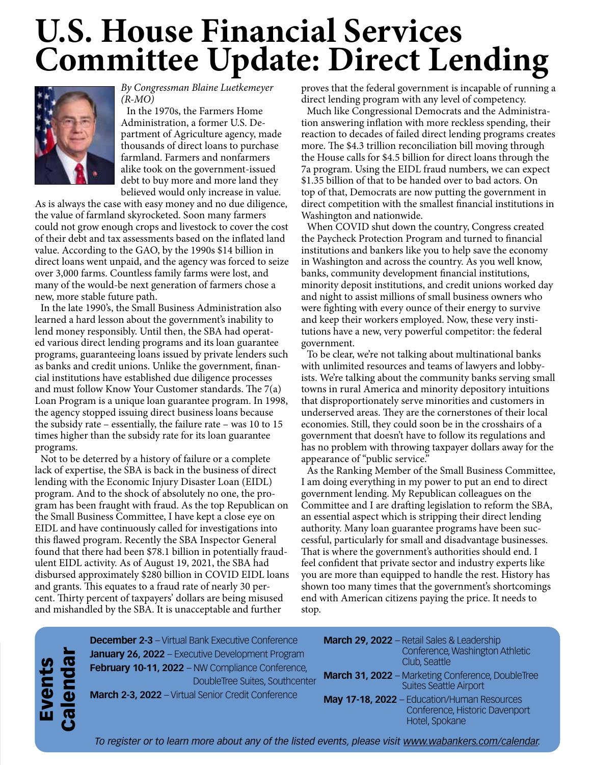## **U.S. House Financial Services Committee Update: Direct Lending**



*By Congressman Blaine Luetkemeyer (R-MO)* 

In the 1970s, the Farmers Home Administration, a former U.S. Department of Agriculture agency, made thousands of direct loans to purchase farmland. Farmers and nonfarmers alike took on the government-issued debt to buy more and more land they believed would only increase in value.

As is always the case with easy money and no due diligence, the value of farmland skyrocketed. Soon many farmers could not grow enough crops and livestock to cover the cost of their debt and tax assessments based on the inflated land value. According to the GAO, by the 1990s \$14 billion in direct loans went unpaid, and the agency was forced to seize over 3,000 farms. Countless family farms were lost, and many of the would-be next generation of farmers chose a new, more stable future path.

In the late 1990's, the Small Business Administration also learned a hard lesson about the government's inability to lend money responsibly. Until then, the SBA had operated various direct lending programs and its loan guarantee programs, guaranteeing loans issued by private lenders such as banks and credit unions. Unlike the government, financial institutions have established due diligence processes and must follow Know Your Customer standards. The 7(a) Loan Program is a unique loan guarantee program. In 1998, the agency stopped issuing direct business loans because the subsidy rate – essentially, the failure rate – was 10 to 15 times higher than the subsidy rate for its loan guarantee programs.

Not to be deterred by a history of failure or a complete lack of expertise, the SBA is back in the business of direct lending with the Economic Injury Disaster Loan (EIDL) program. And to the shock of absolutely no one, the program has been fraught with fraud. As the top Republican on the Small Business Committee, I have kept a close eye on EIDL and have continuously called for investigations into this flawed program. Recently the SBA Inspector General found that there had been \$78.1 billion in potentially fraudulent EIDL activity. As of August 19, 2021, the SBA had disbursed approximately \$280 billion in COVID EIDL loans and grants. This equates to a fraud rate of nearly 30 percent. Thirty percent of taxpayers' dollars are being misused and mishandled by the SBA. It is unacceptable and further

proves that the federal government is incapable of running a direct lending program with any level of competency.

Much like Congressional Democrats and the Administration answering inflation with more reckless spending, their reaction to decades of failed direct lending programs creates more. The \$4.3 trillion reconciliation bill moving through the House calls for \$4.5 billion for direct loans through the 7a program. Using the EIDL fraud numbers, we can expect \$1.35 billion of that to be handed over to bad actors. On top of that, Democrats are now putting the government in direct competition with the smallest financial institutions in Washington and nationwide.

When COVID shut down the country, Congress created the Paycheck Protection Program and turned to financial institutions and bankers like you to help save the economy in Washington and across the country. As you well know, banks, community development financial institutions, minority deposit institutions, and credit unions worked day and night to assist millions of small business owners who were fighting with every ounce of their energy to survive and keep their workers employed. Now, these very institutions have a new, very powerful competitor: the federal government.

To be clear, we're not talking about multinational banks with unlimited resources and teams of lawyers and lobbyists. We're talking about the community banks serving small towns in rural America and minority depository intuitions that disproportionately serve minorities and customers in underserved areas. They are the cornerstones of their local economies. Still, they could soon be in the crosshairs of a government that doesn't have to follow its regulations and has no problem with throwing taxpayer dollars away for the appearance of "public service."

As the Ranking Member of the Small Business Committee, I am doing everything in my power to put an end to direct government lending. My Republican colleagues on the Committee and I are drafting legislation to reform the SBA, an essential aspect which is stripping their direct lending authority. Many loan guarantee programs have been successful, particularly for small and disadvantage businesses. That is where the government's authorities should end. I feel confident that private sector and industry experts like you are more than equipped to handle the rest. History has shown too many times that the government's shortcomings end with American citizens paying the price. It needs to stop.

Events Calendar **December 2-3** – Virtual Bank Executive Conference **January 26, 2022** – Executive Development Program **February 10-11, 2022** – NW Compliance Conference, DoubleTree Suites, Southcenter **March 2-3, 2022** – Virtual Senior Credit Conference

| March 29, 2022 - Retail Sales & Leadership<br>Conference, Washington Athletic<br>Club, Seattle  |
|-------------------------------------------------------------------------------------------------|
| March 31, 2022 - Marketing Conference, DoubleTree<br><b>Suites Seattle Airport</b>              |
| May 17-18, 2022 - Education/Human Resources<br>Conference, Historic Davenport<br>Hotel, Spokane |

*To register or to learn more about any of the listed events, please visit www.wabankers.com/calendar.*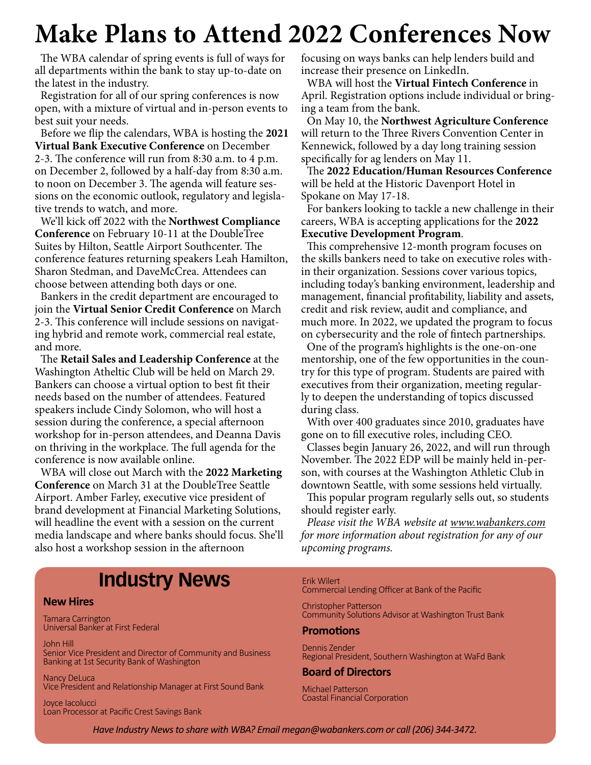### **Make Plans to Attend 2022 Conferences Now**

The WBA calendar of spring events is full of ways for all departments within the bank to stay up-to-date on the latest in the industry.

Registration for all of our spring conferences is now open, with a mixture of virtual and in-person events to best suit your needs.

Before we flip the calendars, WBA is hosting the **2021 Virtual Bank Executive Conference** on December 2-3. The conference will run from 8:30 a.m. to 4 p.m. on December 2, followed by a half-day from 8:30 a.m. to noon on December 3. The agenda will feature sessions on the economic outlook, regulatory and legislative trends to watch, and more.

We'll kick off 2022 with the **Northwest Compliance Conference** on February 10-11 at the DoubleTree Suites by Hilton, Seattle Airport Southcenter. The conference features returning speakers Leah Hamilton, Sharon Stedman, and DaveMcCrea. Attendees can choose between attending both days or one.

Bankers in the credit department are encouraged to join the **Virtual Senior Credit Conference** on March 2-3. This conference will include sessions on navigating hybrid and remote work, commercial real estate, and more.

The **Retail Sales and Leadership Conference** at the Washington Atheltic Club will be held on March 29. Bankers can choose a virtual option to best fit their needs based on the number of attendees. Featured speakers include Cindy Solomon, who will host a session during the conference, a special afternoon workshop for in-person attendees, and Deanna Davis on thriving in the workplace. The full agenda for the conference is now available online.

WBA will close out March with the **2022 Marketing Conference** on March 31 at the DoubleTree Seattle Airport. Amber Farley, executive vice president of brand development at Financial Marketing Solutions, will headline the event with a session on the current media landscape and where banks should focus. She'll also host a workshop session in the afternoon

focusing on ways banks can help lenders build and increase their presence on LinkedIn.

WBA will host the **Virtual Fintech Conference** in April. Registration options include individual or bringing a team from the bank.

On May 10, the **Northwest Agriculture Conference** will return to the Three Rivers Convention Center in Kennewick, followed by a day long training session specifically for ag lenders on May 11.

The **2022 Education/Human Resources Conference**  will be held at the Historic Davenport Hotel in Spokane on May 17-18.

For bankers looking to tackle a new challenge in their careers, WBA is accepting applications for the **2022 Executive Development Program**.

This comprehensive 12-month program focuses on the skills bankers need to take on executive roles within their organization. Sessions cover various topics, including today's banking environment, leadership and management, financial profitability, liability and assets, credit and risk review, audit and compliance, and much more. In 2022, we updated the program to focus on cybersecurity and the role of fintech partnerships.

One of the program's highlights is the one-on-one mentorship, one of the few opportunities in the country for this type of program. Students are paired with executives from their organization, meeting regularly to deepen the understanding of topics discussed during class.

With over 400 graduates since 2010, graduates have gone on to fill executive roles, including CEO.

Classes begin January 26, 2022, and will run through November. The 2022 EDP will be mainly held in-person, with courses at the Washington Athletic Club in downtown Seattle, with some sessions held virtually.

This popular program regularly sells out, so students should register early.

*Please visit the WBA website at www.wabankers.com for more information about registration for any of our upcoming programs.*

### **Industry News**

#### **New Hires**

Tamara Carrington Universal Banker at First Federal

#### John Hill

Senior Vice President and Director of Community and Business Banking at 1st Security Bank of Washington

Nancy DeLuca Vice President and Relationship Manager at First Sound Bank

Joyce Iacolucci Loan Processor at Pacific Crest Savings Bank

#### Erik Wilert

Commercial Lending Officer at Bank of the Pacific

Christopher Patterson Community Solutions Advisor at Washington Trust Bank

#### **Promotions**

Dennis Zender Regional President, Southern Washington at WaFd Bank

#### **Board of Directors**

Michael Patterson Coastal Financial Corporation

*Have Industry News to share with WBA? Email megan@wabankers.com or call (206) 344-3472.*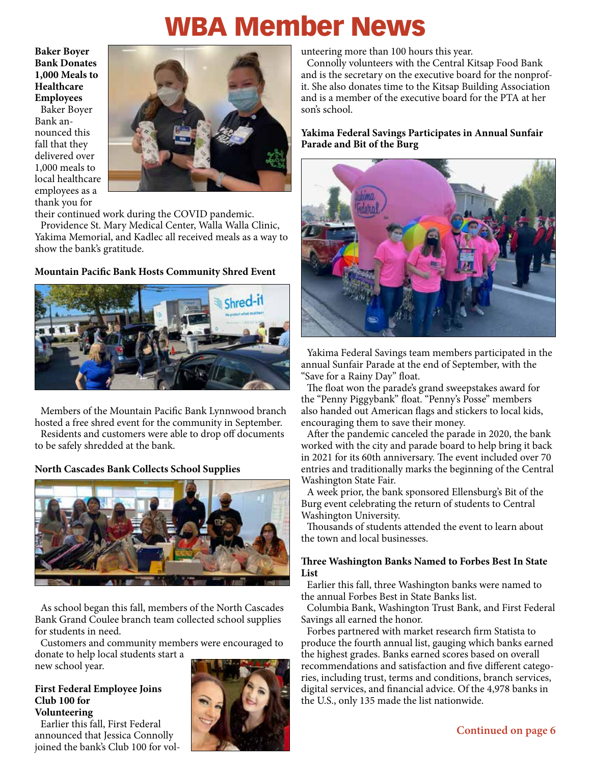### WBA Member News

**Baker Boyer Bank Donates 1,000 Meals to Healthcare Employees**

Baker Boyer Bank announced this fall that they delivered over 1,000 meals to local healthcare employees as a thank you for



their continued work during the COVID pandemic.

Providence St. Mary Medical Center, Walla Walla Clinic, Yakima Memorial, and Kadlec all received meals as a way to show the bank's gratitude.

#### **Mountain Pacific Bank Hosts Community Shred Event**



Members of the Mountain Pacific Bank Lynnwood branch hosted a free shred event for the community in September.

Residents and customers were able to drop off documents to be safely shredded at the bank.

#### **North Cascades Bank Collects School Supplies**



As school began this fall, members of the North Cascades Bank Grand Coulee branch team collected school supplies for students in need.

Customers and community members were encouraged to donate to help local students start a

new school year.

#### **First Federal Employee Joins Club 100 for Volunteering**

Earlier this fall, First Federal announced that Jessica Connolly joined the bank's Club 100 for vol-



unteering more than 100 hours this year.

Connolly volunteers with the Central Kitsap Food Bank and is the secretary on the executive board for the nonprofit. She also donates time to the Kitsap Building Association and is a member of the executive board for the PTA at her son's school.

**Yakima Federal Savings Participates in Annual Sunfair Parade and Bit of the Burg**



Yakima Federal Savings team members participated in the annual Sunfair Parade at the end of September, with the "Save for a Rainy Day" float.

The float won the parade's grand sweepstakes award for the "Penny Piggybank" float. "Penny's Posse" members also handed out American flags and stickers to local kids, encouraging them to save their money.

After the pandemic canceled the parade in 2020, the bank worked with the city and parade board to help bring it back in 2021 for its 60th anniversary. The event included over 70 entries and traditionally marks the beginning of the Central Washington State Fair.

A week prior, the bank sponsored Ellensburg's Bit of the Burg event celebrating the return of students to Central Washington University.

Thousands of students attended the event to learn about the town and local businesses.

#### **Three Washington Banks Named to Forbes Best In State List**

Earlier this fall, three Washington banks were named to the annual Forbes Best in State Banks list.

Columbia Bank, Washington Trust Bank, and First Federal Savings all earned the honor.

Forbes partnered with market research firm Statista to produce the fourth annual list, gauging which banks earned the highest grades. Banks earned scores based on overall recommendations and satisfaction and five different categories, including trust, terms and conditions, branch services, digital services, and financial advice. Of the 4,978 banks in the U.S., only 135 made the list nationwide.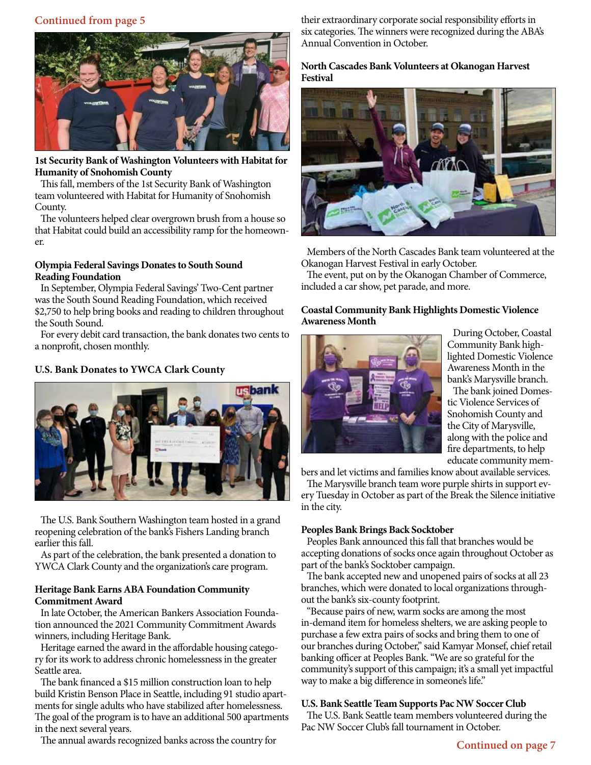#### **Continued from page 5**



#### **1st Security Bank of Washington Volunteers with Habitat for Humanity of Snohomish County**

This fall, members of the 1st Security Bank of Washington team volunteered with Habitat for Humanity of Snohomish County.

The volunteers helped clear overgrown brush from a house so that Habitat could build an accessibility ramp for the homeowner.

#### **Olympia Federal Savings Donates to South Sound Reading Foundation**

In September, Olympia Federal Savings' Two-Cent partner was the South Sound Reading Foundation, which received \$2,750 to help bring books and reading to children throughout the South Sound.

For every debit card transaction, the bank donates two cents to a nonprofit, chosen monthly.

#### **U.S. Bank Donates to YWCA Clark County**



The U.S. Bank Southern Washington team hosted in a grand reopening celebration of the bank's Fishers Landing branch earlier this fall.

As part of the celebration, the bank presented a donation to YWCA Clark County and the organization's care program.

#### **Heritage Bank Earns ABA Foundation Community Commitment Award**

In late October, the American Bankers Association Foundation announced the 2021 Community Commitment Awards winners, including Heritage Bank.

Heritage earned the award in the affordable housing category for its work to address chronic homelessness in the greater Seattle area.

The bank financed a \$15 million construction loan to help build Kristin Benson Place in Seattle, including 91 studio apartments for single adults who have stabilized after homelessness. The goal of the program is to have an additional 500 apartments in the next several years.

The annual awards recognized banks across the country for

their extraordinary corporate social responsibility efforts in six categories. The winners were recognized during the ABA's Annual Convention in October.

#### **North Cascades Bank Volunteers at Okanogan Harvest Festival**



Members of the North Cascades Bank team volunteered at the Okanogan Harvest Festival in early October.

The event, put on by the Okanogan Chamber of Commerce, included a car show, pet parade, and more.

#### **Coastal Community Bank Highlights Domestic Violence Awareness Month**



During October, Coastal Community Bank highlighted Domestic Violence Awareness Month in the bank's Marysville branch.

The bank joined Domestic Violence Services of Snohomish County and the City of Marysville, along with the police and fire departments, to help educate community mem-

bers and let victims and families know about available services.

The Marysville branch team wore purple shirts in support every Tuesday in October as part of the Break the Silence initiative in the city.

#### **Peoples Bank Brings Back Socktober**

Peoples Bank announced this fall that branches would be accepting donations of socks once again throughout October as part of the bank's Socktober campaign.

The bank accepted new and unopened pairs of socks at all 23 branches, which were donated to local organizations throughout the bank's six-county footprint.

"Because pairs of new, warm socks are among the most in-demand item for homeless shelters, we are asking people to purchase a few extra pairs of socks and bring them to one of our branches during October," said Kamyar Monsef, chief retail banking officer at Peoples Bank. "We are so grateful for the community's support of this campaign; it's a small yet impactful way to make a big difference in someone's life."

#### **U.S. Bank Seattle Team Supports Pac NW Soccer Club**

The U.S. Bank Seattle team members volunteered during the Pac NW Soccer Club's fall tournament in October.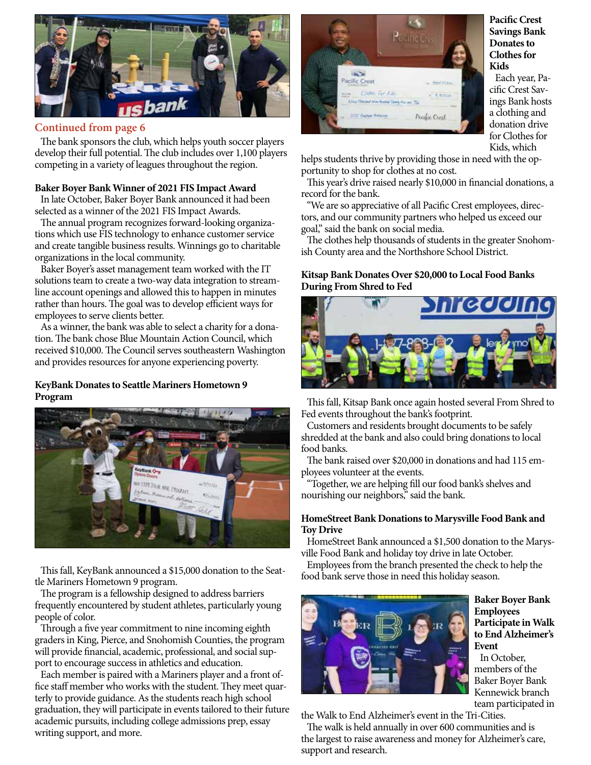

#### **Continued from page 6**

The bank sponsors the club, which helps youth soccer players develop their full potential. The club includes over 1,100 players competing in a variety of leagues throughout the region.

#### **Baker Boyer Bank Winner of 2021 FIS Impact Award**

In late October, Baker Boyer Bank announced it had been selected as a winner of the 2021 FIS Impact Awards.

The annual program recognizes forward-looking organizations which use FIS technology to enhance customer service and create tangible business results. Winnings go to charitable organizations in the local community.

Baker Boyer's asset management team worked with the IT solutions team to create a two-way data integration to streamline account openings and allowed this to happen in minutes rather than hours. The goal was to develop efficient ways for employees to serve clients better.

As a winner, the bank was able to select a charity for a donation. The bank chose Blue Mountain Action Council, which received \$10,000. The Council serves southeastern Washington and provides resources for anyone experiencing poverty.

#### **KeyBank Donates to Seattle Mariners Hometown 9 Program**



This fall, KeyBank announced a \$15,000 donation to the Seattle Mariners Hometown 9 program.

The program is a fellowship designed to address barriers frequently encountered by student athletes, particularly young people of color.

Through a five year commitment to nine incoming eighth graders in King, Pierce, and Snohomish Counties, the program will provide financial, academic, professional, and social support to encourage success in athletics and education.

Each member is paired with a Mariners player and a front office staff member who works with the student. They meet quarterly to provide guidance. As the students reach high school graduation, they will participate in events tailored to their future academic pursuits, including college admissions prep, essay writing support, and more.



#### **Pacific Crest Savings Bank Donates to Clothes for Kids**

Each year, Pacific Crest Savings Bank hosts a clothing and donation drive for Clothes for Kids, which

helps students thrive by providing those in need with the opportunity to shop for clothes at no cost.

This year's drive raised nearly \$10,000 in financial donations, a record for the bank.

"We are so appreciative of all Pacific Crest employees, directors, and our community partners who helped us exceed our goal," said the bank on social media.

The clothes help thousands of students in the greater Snohomish County area and the Northshore School District.

#### **Kitsap Bank Donates Over \$20,000 to Local Food Banks During From Shred to Fed**



This fall, Kitsap Bank once again hosted several From Shred to Fed events throughout the bank's footprint.

Customers and residents brought documents to be safely shredded at the bank and also could bring donations to local food banks.

The bank raised over \$20,000 in donations and had 115 employees volunteer at the events.

"Together, we are helping fill our food bank's shelves and nourishing our neighbors," said the bank.

#### **HomeStreet Bank Donations to Marysville Food Bank and Toy Drive**

HomeStreet Bank announced a \$1,500 donation to the Marysville Food Bank and holiday toy drive in late October.

Employees from the branch presented the check to help the food bank serve those in need this holiday season.



**Baker Boyer Bank Employees Participate in Walk to End Alzheimer's Event**

In October, members of the Baker Boyer Bank Kennewick branch team participated in

the Walk to End Alzheimer's event in the Tri-Cities.

The walk is held annually in over 600 communities and is the largest to raise awareness and money for Alzheimer's care, support and research.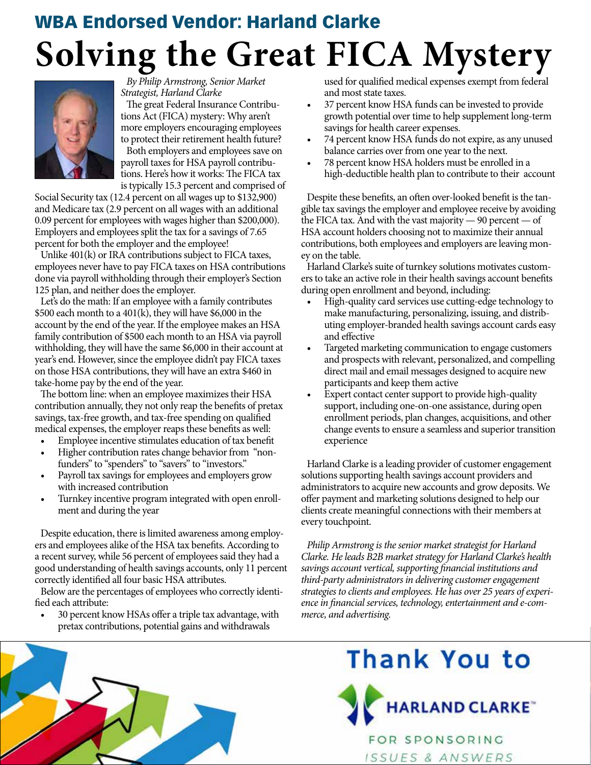## **Solving the Great FICA Mystery** WBA Endorsed Vendor: Harland Clarke



*By Philip Armstrong, Senior Market Strategist, Harland Clarke*

The great Federal Insurance Contributions Act (FICA) mystery: Why aren't more employers encouraging employees to protect their retirement health future? Both employers and employees save on payroll taxes for HSA payroll contributions. Here's how it works: The FICA tax is typically 15.3 percent and comprised of

Social Security tax (12.4 percent on all wages up to \$132,900) and Medicare tax (2.9 percent on all wages with an additional 0.09 percent for employees with wages higher than \$200,000). Employers and employees split the tax for a savings of 7.65 percent for both the employer and the employee!

Unlike 401(k) or IRA contributions subject to FICA taxes, employees never have to pay FICA taxes on HSA contributions done via payroll withholding through their employer's Section 125 plan, and neither does the employer.

Let's do the math: If an employee with a family contributes \$500 each month to a 401(k), they will have \$6,000 in the account by the end of the year. If the employee makes an HSA family contribution of \$500 each month to an HSA via payroll withholding, they will have the same \$6,000 in their account at year's end. However, since the employee didn't pay FICA taxes on those HSA contributions, they will have an extra \$460 in take-home pay by the end of the year.

The bottom line: when an employee maximizes their HSA contribution annually, they not only reap the benefits of pretax savings, tax-free growth, and tax-free spending on qualified medical expenses, the employer reaps these benefits as well:

- Employee incentive stimulates education of tax benefit
- Higher contribution rates change behavior from "nonfunders" to "spenders" to "savers" to "investors."
- Payroll tax savings for employees and employers grow with increased contribution
- Turnkey incentive program integrated with open enrollment and during the year

Despite education, there is limited awareness among employers and employees alike of the HSA tax benefits. According to a recent survey, while 56 percent of employees said they had a good understanding of health savings accounts, only 11 percent correctly identified all four basic HSA attributes.

Below are the percentages of employees who correctly identified each attribute:

• 30 percent know HSAs offer a triple tax advantage, with pretax contributions, potential gains and withdrawals

used for qualified medical expenses exempt from federal and most state taxes.

- 37 percent know HSA funds can be invested to provide growth potential over time to help supplement long-term savings for health career expenses.
- 74 percent know HSA funds do not expire, as any unused balance carries over from one year to the next.
- 78 percent know HSA holders must be enrolled in a high-deductible health plan to contribute to their account

Despite these benefits, an often over-looked benefit is the tangible tax savings the employer and employee receive by avoiding the FICA tax. And with the vast majority — 90 percent — of HSA account holders choosing not to maximize their annual contributions, both employees and employers are leaving money on the table.

Harland Clarke's suite of turnkey solutions motivates customers to take an active role in their health savings account benefits during open enrollment and beyond, including:

- High-quality card services use cutting-edge technology to make manufacturing, personalizing, issuing, and distributing employer-branded health savings account cards easy and effective
- Targeted marketing communication to engage customers and prospects with relevant, personalized, and compelling direct mail and email messages designed to acquire new participants and keep them active
- Expert contact center support to provide high-quality support, including one-on-one assistance, during open enrollment periods, plan changes, acquisitions, and other change events to ensure a seamless and superior transition experience

Harland Clarke is a leading provider of customer engagement solutions supporting health savings account providers and administrators to acquire new accounts and grow deposits. We offer payment and marketing solutions designed to help our clients create meaningful connections with their members at every touchpoint.

*Philip Armstrong is the senior market strategist for Harland Clarke. He leads B2B market strategy for Harland Clarke's health savings account vertical, supporting financial institutions and third-party administrators in delivering customer engagement strategies to clients and employees. He has over 25 years of experience in financial services, technology, entertainment and e-commerce, and advertising.*

**Thank You to** 

FOR SPONSORING ISSUES & ANSWERS

**HARLAND CLARKE** 

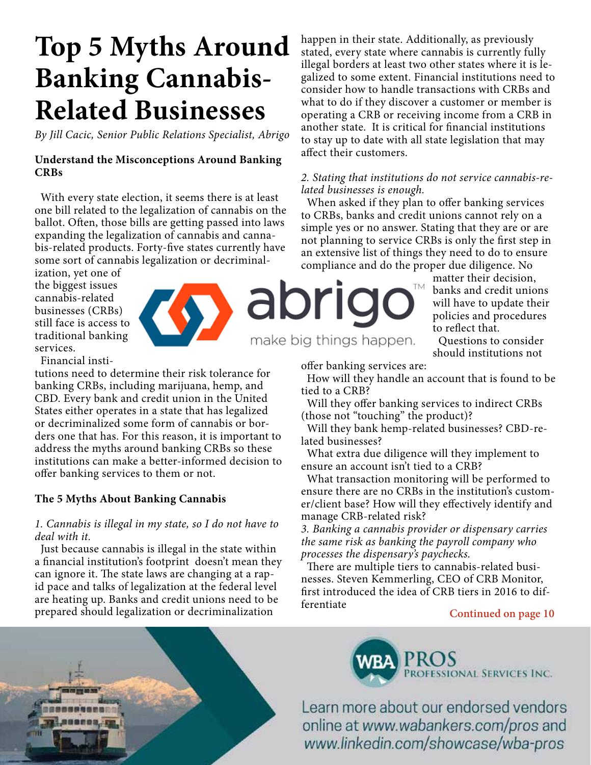## **Top 5 Myths Around Banking Cannabis-Related Businesses**

*By Jill Cacic, Senior Public Relations Specialist, Abrigo*

#### **Understand the Misconceptions Around Banking CRBs**

With every state election, it seems there is at least one bill related to the legalization of cannabis on the ballot. Often, those bills are getting passed into laws expanding the legalization of cannabis and cannabis-related products. Forty-five states currently have some sort of cannabis legalization or decriminal-

ization, yet one of the biggest issues cannabis-related businesses (CRBs) still face is access to traditional banking services.



Financial insti-

tutions need to determine their risk tolerance for banking CRBs, including marijuana, hemp, and CBD. Every bank and credit union in the United States either operates in a state that has legalized or decriminalized some form of cannabis or borders one that has. For this reason, it is important to address the myths around banking CRBs so these institutions can make a better-informed decision to offer banking services to them or not.

#### **The 5 Myths About Banking Cannabis**

#### *1. Cannabis is illegal in my state, so I do not have to deal with it.*

Just because cannabis is illegal in the state within a financial institution's footprint doesn't mean they can ignore it. The state laws are changing at a rapid pace and talks of legalization at the federal level are heating up. Banks and credit unions need to be prepared should legalization or decriminalization

happen in their state. Additionally, as previously stated, every state where cannabis is currently fully illegal borders at least two other states where it is legalized to some extent. Financial institutions need to consider how to handle transactions with CRBs and what to do if they discover a customer or member is operating a CRB or receiving income from a CRB in another state. It is critical for financial institutions to stay up to date with all state legislation that may affect their customers.

#### *2. Stating that institutions do not service cannabis-related businesses is enough.*

When asked if they plan to offer banking services to CRBs, banks and credit unions cannot rely on a simple yes or no answer. Stating that they are or are not planning to service CRBs is only the first step in an extensive list of things they need to do to ensure compliance and do the proper due diligence. No

TM apri

make big things happen.

matter their decision, banks and credit unions will have to update their policies and procedures to reflect that.

Questions to consider should institutions not

offer banking services are:

How will they handle an account that is found to be tied to a CRB?

Will they offer banking services to indirect CRBs (those not "touching" the product)?

Will they bank hemp-related businesses? CBD-related businesses?

What extra due diligence will they implement to ensure an account isn't tied to a CRB?

What transaction monitoring will be performed to ensure there are no CRBs in the institution's customer/client base? How will they effectively identify and manage CRB-related risk?

*3. Banking a cannabis provider or dispensary carries the same risk as banking the payroll company who processes the dispensary's paychecks.*

There are multiple tiers to cannabis-related businesses. Steven Kemmerling, CEO of CRB Monitor, first introduced the idea of CRB tiers in 2016 to differentiate

#### **Continued on page 10**

ROFESSIONAL SERVICES INC.

Learn more about our endorsed vendors online at www.wabankers.com/pros and www.linkedin.com/showcase/wba-pros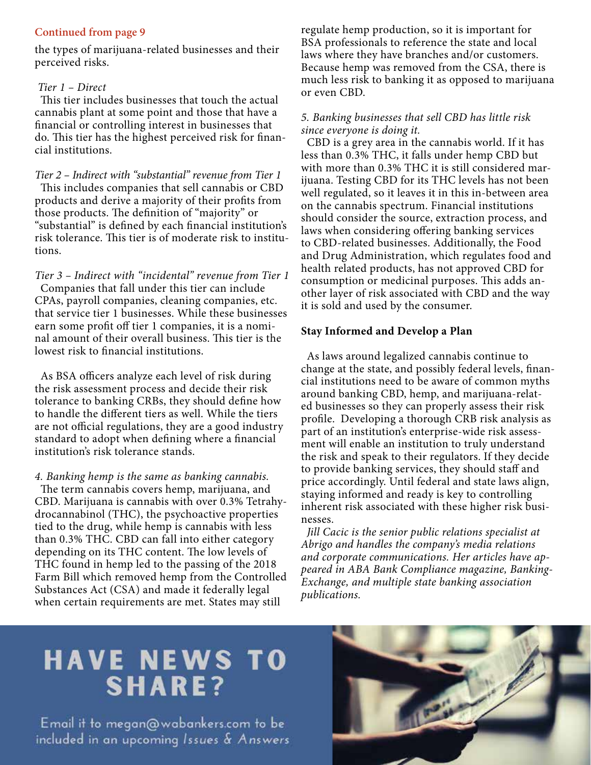#### **Continued from page 9**

the types of marijuana-related businesses and their perceived risks.

#### *Tier 1 – Direct*

This tier includes businesses that touch the actual cannabis plant at some point and those that have a financial or controlling interest in businesses that do. This tier has the highest perceived risk for financial institutions.

*Tier 2 – Indirect with "substantial" revenue from Tier 1* This includes companies that sell cannabis or CBD products and derive a majority of their profits from those products. The definition of "majority" or "substantial" is defined by each financial institution's risk tolerance. This tier is of moderate risk to institutions.

*Tier 3 – Indirect with "incidental" revenue from Tier 1*  Companies that fall under this tier can include CPAs, payroll companies, cleaning companies, etc. that service tier 1 businesses. While these businesses earn some profit off tier 1 companies, it is a nominal amount of their overall business. This tier is the lowest risk to financial institutions.

As BSA officers analyze each level of risk during the risk assessment process and decide their risk tolerance to banking CRBs, they should define how to handle the different tiers as well. While the tiers are not official regulations, they are a good industry standard to adopt when defining where a financial institution's risk tolerance stands.

*4. Banking hemp is the same as banking cannabis.* The term cannabis covers hemp, marijuana, and CBD. Marijuana is cannabis with over 0.3% Tetrahydrocannabinol (THC), the psychoactive properties tied to the drug, while hemp is cannabis with less than 0.3% THC. CBD can fall into either category depending on its THC content. The low levels of THC found in hemp led to the passing of the 2018 Farm Bill which removed hemp from the Controlled Substances Act (CSA) and made it federally legal when certain requirements are met. States may still

regulate hemp production, so it is important for BSA professionals to reference the state and local laws where they have branches and/or customers. Because hemp was removed from the CSA, there is much less risk to banking it as opposed to marijuana or even CBD.

#### *5. Banking businesses that sell CBD has little risk since everyone is doing it.*

CBD is a grey area in the cannabis world. If it has less than 0.3% THC, it falls under hemp CBD but with more than 0.3% THC it is still considered marijuana. Testing CBD for its THC levels has not been well regulated, so it leaves it in this in-between area on the cannabis spectrum. Financial institutions should consider the source, extraction process, and laws when considering offering banking services to CBD-related businesses. Additionally, the Food and Drug Administration, which regulates food and health related products, has not approved CBD for consumption or medicinal purposes. This adds another layer of risk associated with CBD and the way it is sold and used by the consumer.

#### **Stay Informed and Develop a Plan**

As laws around legalized cannabis continue to change at the state, and possibly federal levels, financial institutions need to be aware of common myths around banking CBD, hemp, and marijuana-related businesses so they can properly assess their risk profile. Developing a thorough CRB risk analysis as part of an institution's enterprise-wide risk assessment will enable an institution to truly understand the risk and speak to their regulators. If they decide to provide banking services, they should staff and price accordingly. Until federal and state laws align, staying informed and ready is key to controlling inherent risk associated with these higher risk businesses.

*Jill Cacic is the senior public relations specialist at Abrigo and handles the company's media relations and corporate communications. Her articles have appeared in ABA Bank Compliance magazine, Banking-Exchange, and multiple state banking association publications.*

### **HAVE NEWS TO SHARE?**

Email it to megan@wabankers.com to be included in an upcoming Issues & Answers